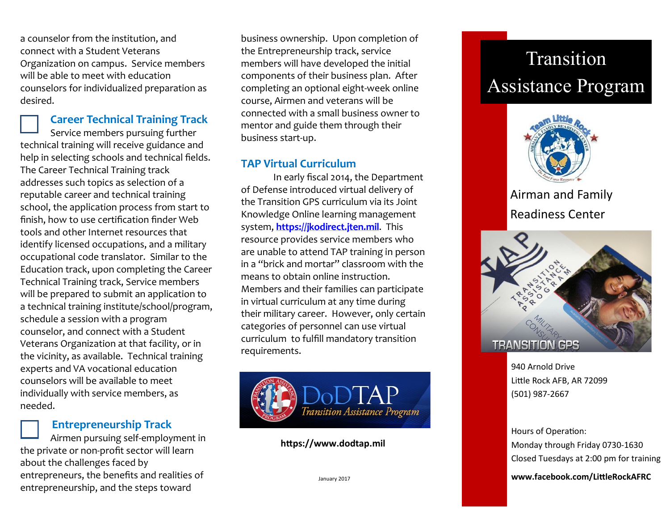a counselor from the institution, and connect with a Student Veterans Organization on campus. Service members will be able to meet with education counselors for individualized preparation as desired.

#### **Career Technical Training Track**

Service members pursuing further technical training will receive guidance and help in selecting schools and technical fields. The Career Technical Training track addresses such topics as selection of a reputable career and technical training school, the application process from start to finish, how to use certification finder Web tools and other Internet resources that identify licensed occupations, and a military occupational code translator. Similar to the Education track, upon completing the Career Technical Training track, Service members will be prepared to submit an application to a technical training institute/school/program, schedule a session with a program counselor, and connect with a Student Veterans Organization at that facility, or in the vicinity, as available. Technical training experts and VA vocational education counselors will be available to meet individually with service members, as needed.

#### **Entrepreneurship Track**

Airmen pursuing self-employment in the private or non-profit sector will learn about the challenges faced by entrepreneurs, the benefits and realities of entrepreneurship, and the steps toward

business ownership. Upon completion of the Entrepreneurship track, service members will have developed the initial components of their business plan. After completing an optional eight-week online course, Airmen and veterans will be connected with a small business owner to mentor and guide them through their business start-up.

#### **TAP Virtual Curriculum**

In early fiscal 2014, the Department of Defense introduced virtual delivery of the Transition GPS curriculum via its Joint Knowledge Online learning management system, **<https://jkodirect.jten.mil>**. This resource provides service members who are unable to attend TAP training in person in a "brick and mortar" classroom with the means to obtain online instruction. Members and their families can participate in virtual curriculum at any time during their military career. However, only certain categories of personnel can use virtual curriculum to fulfill mandatory transition requirements.



#### **https://www.dodtap.mil**

# Transition Assistance Program



## Airman and Family Readiness Center



940 Arnold Drive Little Rock AFB, AR 72099 (501) 987-2667

Hours of Operation: Monday through Friday 0730-1630 Closed Tuesdays at 2:00 pm for training

January 2017 **www.facebook.com/LittleRockAFRC**